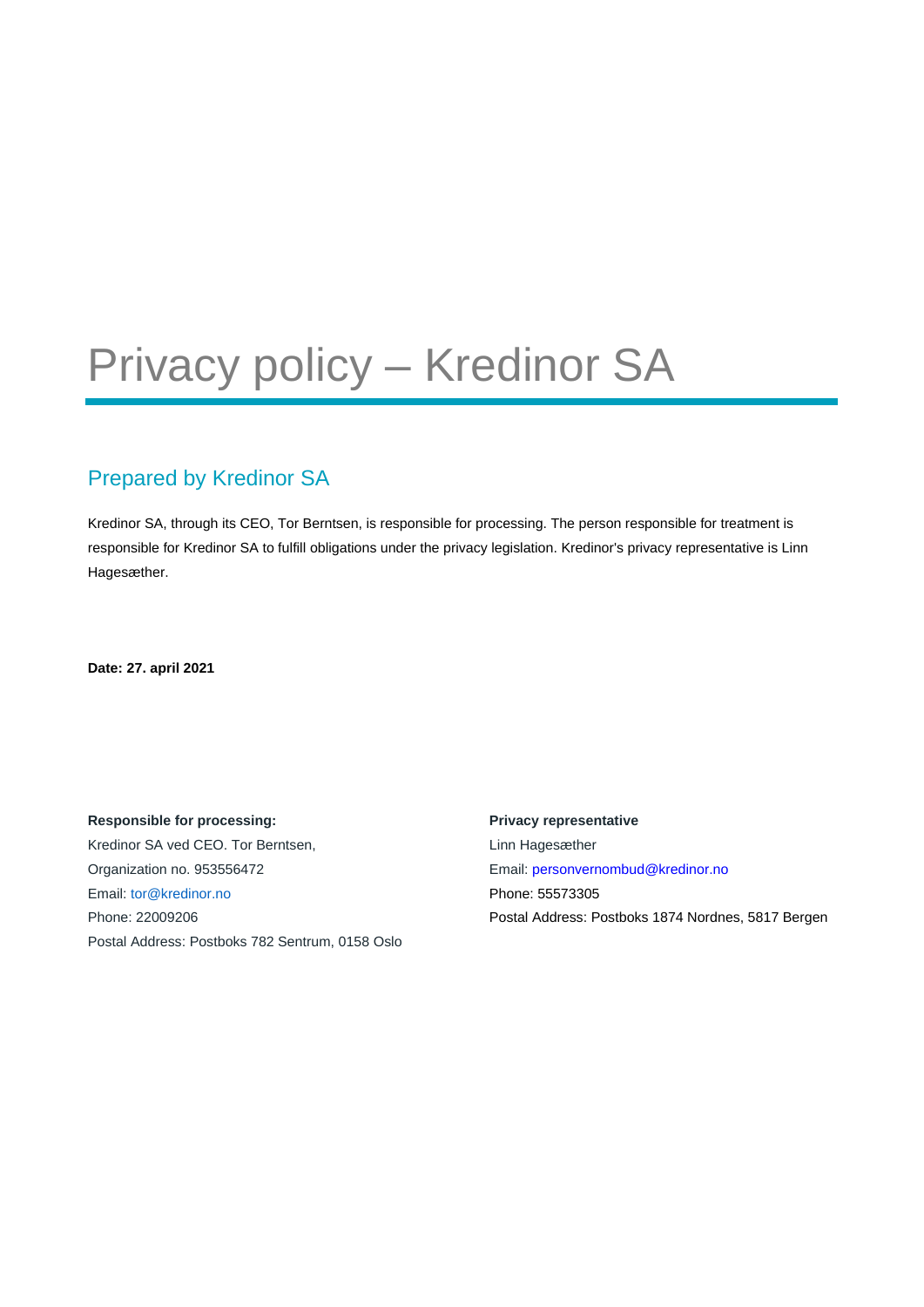# Privacy policy – Kredinor SA

### Prepared by Kredinor SA

Kredinor SA, through its CEO, Tor Berntsen, is responsible for processing. The person responsible for treatment is responsible for Kredinor SA to fulfill obligations under the privacy legislation. Kredinor's privacy representative is Linn Hagesæther.

**Date: 27. april 2021**

**Responsible for processing:**  Kredinor SA ved CEO. Tor Berntsen, Organization no. 953556472 Email: tor@kredinor.no Phone: 22009206 Postal Address: Postboks 782 Sentrum, 0158 Oslo **Privacy representative** Linn Hagesæther Email: personvernombud@kredinor.no Phone: 55573305 Postal Address: Postboks 1874 Nordnes, 5817 Bergen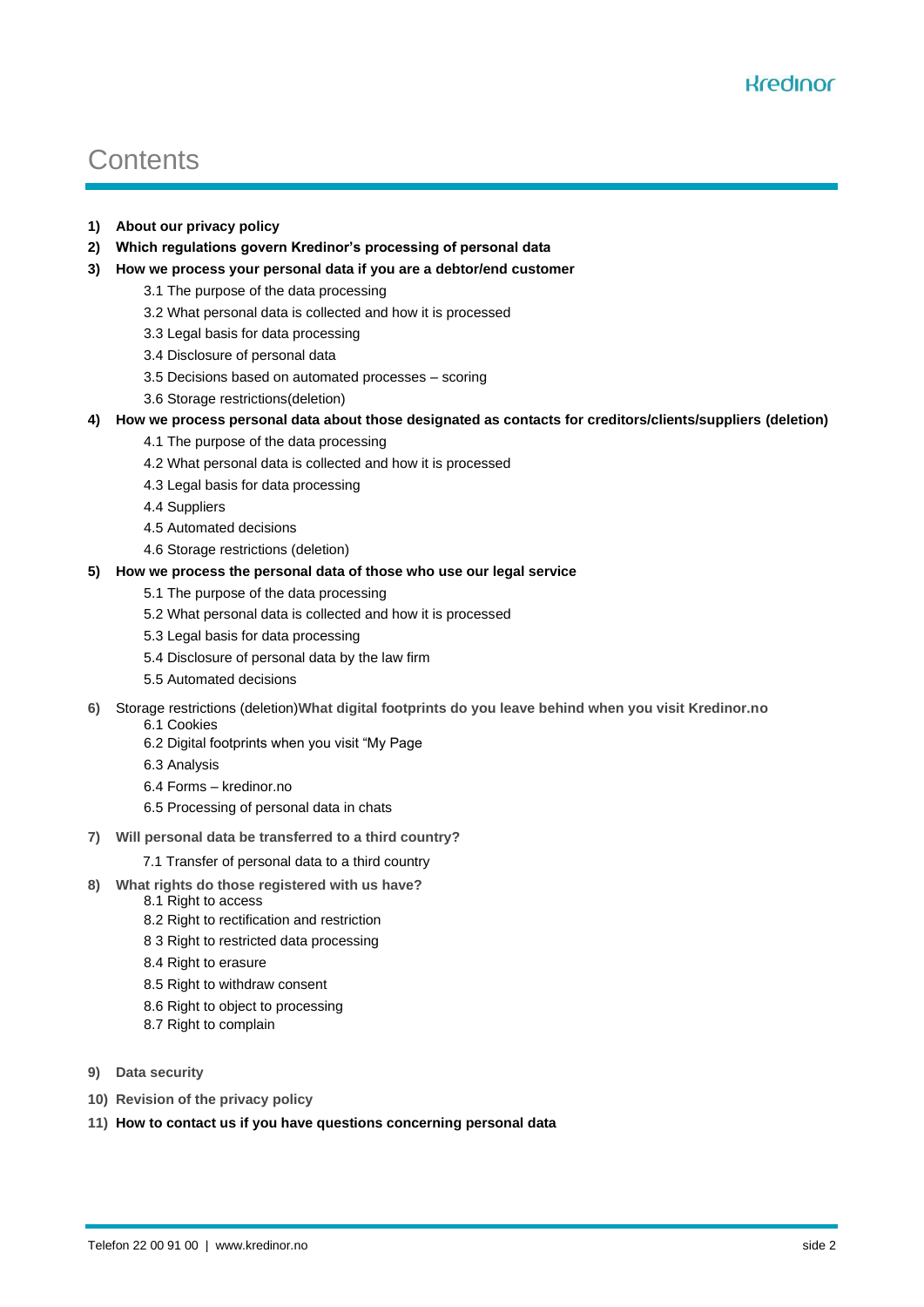# **Contents**

- **1) About our privacy policy**
- **2) Which regulations govern Kredinor's processing of personal data**
- **3) How we process your personal data if you are a debtor/end customer**
	- 3.1 The purpose of the data processing
	- 3.2 What personal data is collected and how it is processed
	- 3.3 Legal basis for data processing
	- 3.4 Disclosure of personal data
	- 3.5 Decisions based on automated processes scoring
	- 3.6 Storage restrictions(deletion)
- **4) How we process personal data about those designated as contacts for creditors/clients/suppliers (deletion)**
	- 4.1 The purpose of the data processing
	- 4.2 What personal data is collected and how it is processed
	- 4.3 Legal basis for data processing
	- 4.4 Suppliers
	- 4.5 Automated decisions
	- 4.6 Storage restrictions (deletion)

#### **5) How we process the personal data of those who use our legal service**

- 5.1 The purpose of the data processing
- 5.2 What personal data is collected and how it is processed
- 5.3 Legal basis for data processing
- 5.4 Disclosure of personal data by the law firm
- 5.5 Automated decisions
- **6)** Storage restrictions (deletion)**What digital footprints do you leave behind when you visit Kredinor.no**
	- 6.1 Cookies
		- 6.2 Digital footprints when you visit "My Page
		- 6.3 Analysis
		- 6.4 Forms kredinor.no
		- 6.5 Processing of personal data in chats
- **7) Will personal data be transferred to a third country?**
	- 7.1 Transfer of personal data to a third country
- **8) What rights do those registered with us have?**
	- 8.1 Right to access
	- 8.2 Right to rectification and restriction
	- 8 3 Right to restricted data processing
	- 8.4 Right to erasure
	- 8.5 Right to withdraw consent
	- 8.6 Right to object to processing
	- 8.7 Right to complain
- **9) Data security**
- **10) Revision of the privacy policy**
- **11) How to contact us if you have questions concerning personal data**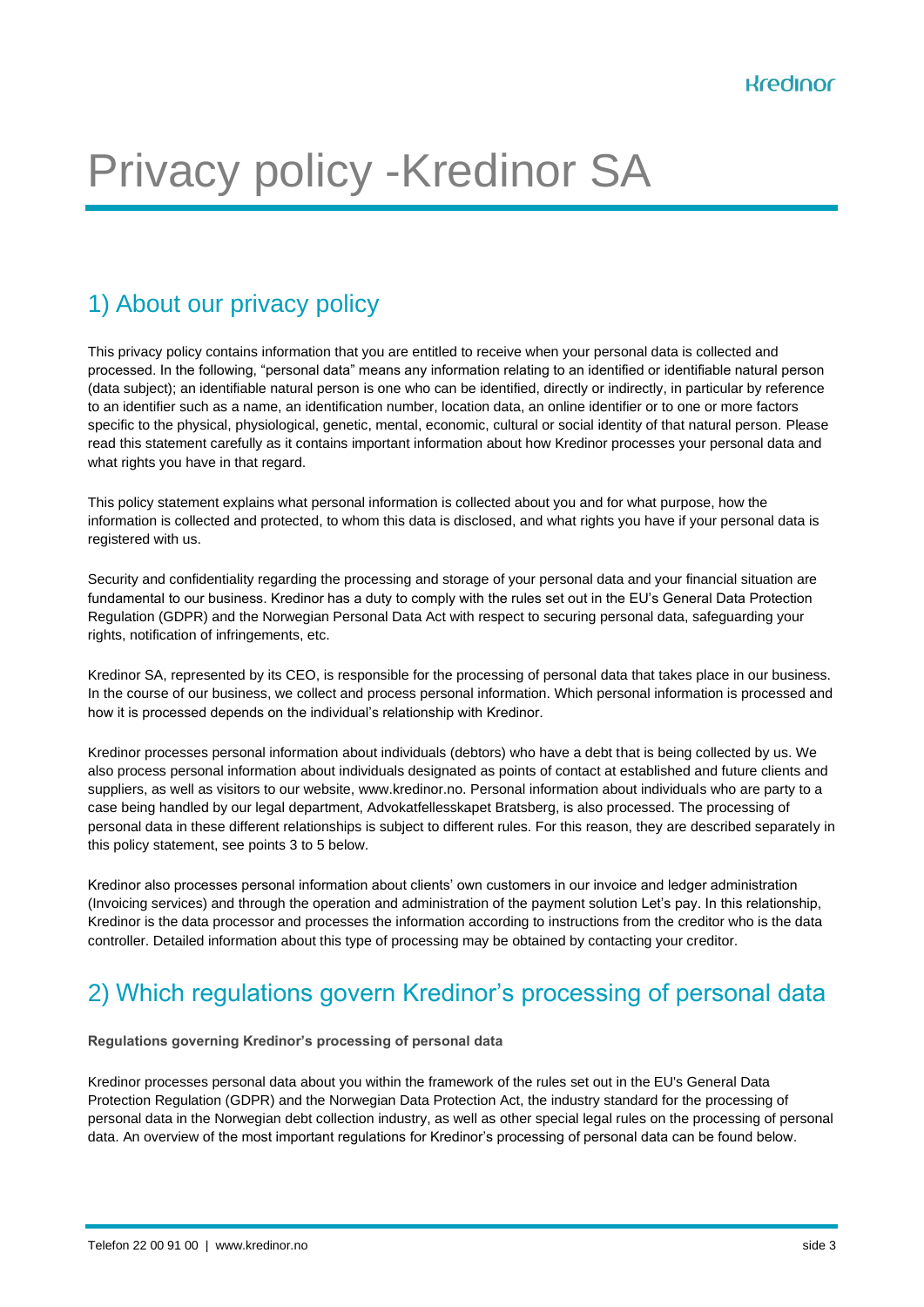# Privacy policy -Kredinor SA

### 1) About our privacy policy

This privacy policy contains information that you are entitled to receive when your personal data is collected and processed. In the following, "personal data" means any information relating to an identified or identifiable natural person (data subject); an identifiable natural person is one who can be identified, directly or indirectly, in particular by reference to an identifier such as a name, an identification number, location data, an online identifier or to one or more factors specific to the physical, physiological, genetic, mental, economic, cultural or social identity of that natural person. Please read this statement carefully as it contains important information about how Kredinor processes your personal data and what rights you have in that regard.

This policy statement explains what personal information is collected about you and for what purpose, how the information is collected and protected, to whom this data is disclosed, and what rights you have if your personal data is registered with us.

Security and confidentiality regarding the processing and storage of your personal data and your financial situation are fundamental to our business. Kredinor has a duty to comply with the rules set out in the EU's General Data Protection Regulation (GDPR) and the Norwegian Personal Data Act with respect to securing personal data, safeguarding your rights, notification of infringements, etc.

Kredinor SA, represented by its CEO, is responsible for the processing of personal data that takes place in our business. In the course of our business, we collect and process personal information. Which personal information is processed and how it is processed depends on the individual's relationship with Kredinor.

Kredinor processes personal information about individuals (debtors) who have a debt that is being collected by us. We also process personal information about individuals designated as points of contact at established and future clients and suppliers, as well as visitors to our website, www.kredinor.no. Personal information about individuals who are party to a case being handled by our legal department, Advokatfellesskapet Bratsberg, is also processed. The processing of personal data in these different relationships is subject to different rules. For this reason, they are described separately in this policy statement, see points 3 to 5 below.

Kredinor also processes personal information about clients' own customers in our invoice and ledger administration (Invoicing services) and through the operation and administration of the payment solution Let's pay. In this relationship, Kredinor is the data processor and processes the information according to instructions from the creditor who is the data controller. Detailed information about this type of processing may be obtained by contacting your creditor.

## 2) Which regulations govern Kredinor's processing of personal data

**Regulations governing Kredinor's processing of personal data**

Kredinor processes personal data about you within the framework of the rules set out in the EU's General Data Protection Regulation (GDPR) and the Norwegian Data Protection Act, the industry standard for the processing of personal data in the Norwegian debt collection industry, as well as other special legal rules on the processing of personal data. An overview of the most important regulations for Kredinor's processing of personal data can be found below.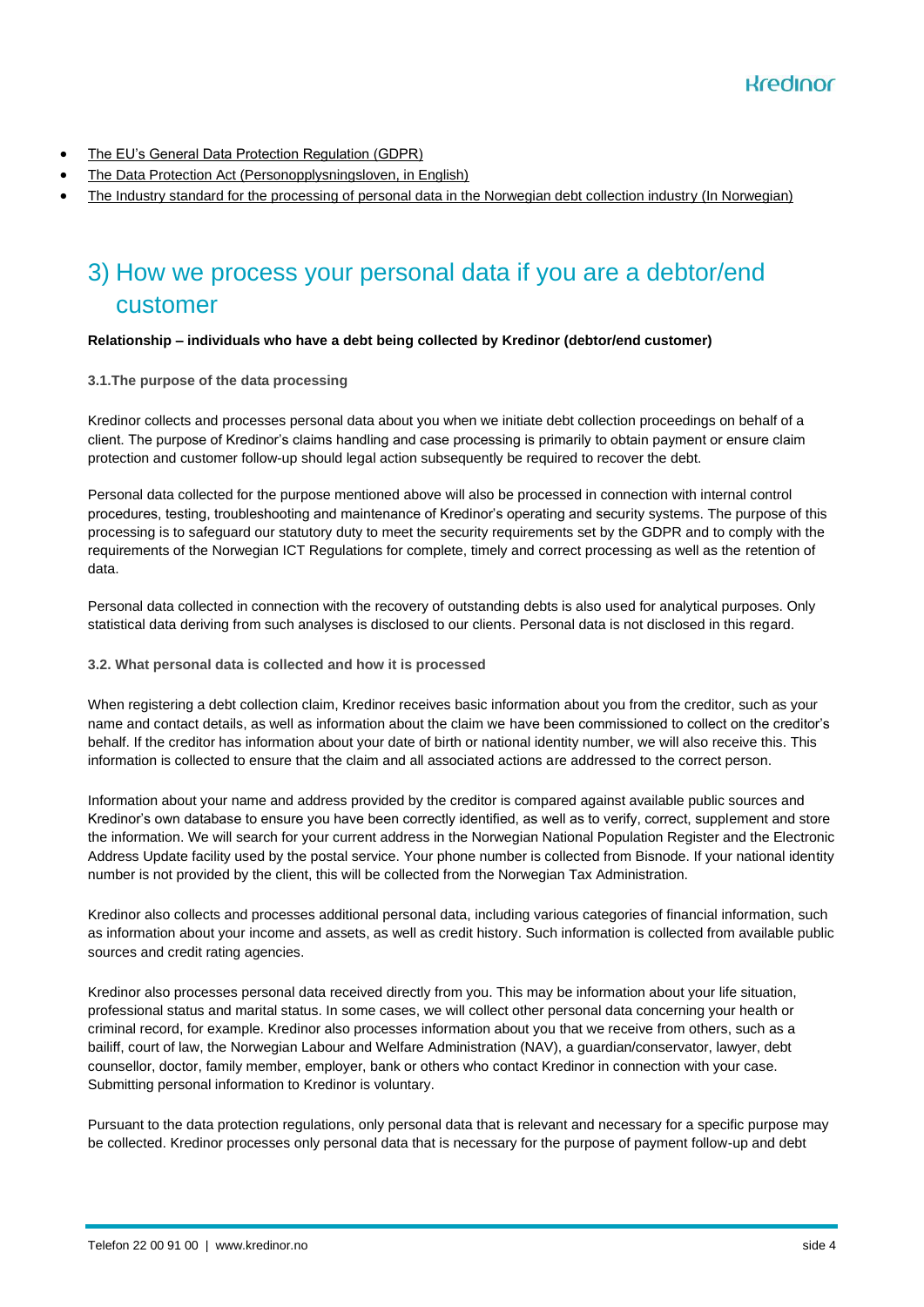- [The EU's General Data Protection Regulation \(GDPR\)](https://lovdata.no/static/NLX3/32016r0679.pdf)
- [The Data Protection Act \(Personopplysningsloven, in English\)](https://lovdata.no/dokument/NL/lov/2018-06-15-38)
- [The Industry standard for the processing of personal data in the Norwegian debt collection industry \(In Norwegian\)](https://kredinor.hubster.no/app/uploads/2021/04/Bransjenorm-for-behandling-av-personopplysninger-i-den-norske-inkassobransjen-av-06.03.2008.pdf)

### 3) How we process your personal data if you are a debtor/end customer

#### **Relationship – individuals who have a debt being collected by Kredinor (debtor/end customer)**

#### **3.1.The purpose of the data processing**

Kredinor collects and processes personal data about you when we initiate debt collection proceedings on behalf of a client. The purpose of Kredinor's claims handling and case processing is primarily to obtain payment or ensure claim protection and customer follow-up should legal action subsequently be required to recover the debt.

Personal data collected for the purpose mentioned above will also be processed in connection with internal control procedures, testing, troubleshooting and maintenance of Kredinor's operating and security systems. The purpose of this processing is to safeguard our statutory duty to meet the security requirements set by the GDPR and to comply with the requirements of the Norwegian ICT Regulations for complete, timely and correct processing as well as the retention of data.

Personal data collected in connection with the recovery of outstanding debts is also used for analytical purposes. Only statistical data deriving from such analyses is disclosed to our clients. Personal data is not disclosed in this regard.

#### **3.2. What personal data is collected and how it is processed**

When registering a debt collection claim, Kredinor receives basic information about you from the creditor, such as your name and contact details, as well as information about the claim we have been commissioned to collect on the creditor's behalf. If the creditor has information about your date of birth or national identity number, we will also receive this. This information is collected to ensure that the claim and all associated actions are addressed to the correct person.

Information about your name and address provided by the creditor is compared against available public sources and Kredinor's own database to ensure you have been correctly identified, as well as to verify, correct, supplement and store the information. We will search for your current address in the Norwegian National Population Register and the Electronic Address Update facility used by the postal service. Your phone number is collected from Bisnode. If your national identity number is not provided by the client, this will be collected from the Norwegian Tax Administration.

Kredinor also collects and processes additional personal data, including various categories of financial information, such as information about your income and assets, as well as credit history. Such information is collected from available public sources and credit rating agencies.

Kredinor also processes personal data received directly from you. This may be information about your life situation, professional status and marital status. In some cases, we will collect other personal data concerning your health or criminal record, for example. Kredinor also processes information about you that we receive from others, such as a bailiff, court of law, the Norwegian Labour and Welfare Administration (NAV), a guardian/conservator, lawyer, debt counsellor, doctor, family member, employer, bank or others who contact Kredinor in connection with your case. Submitting personal information to Kredinor is voluntary.

Pursuant to the data protection regulations, only personal data that is relevant and necessary for a specific purpose may be collected. Kredinor processes only personal data that is necessary for the purpose of payment follow-up and debt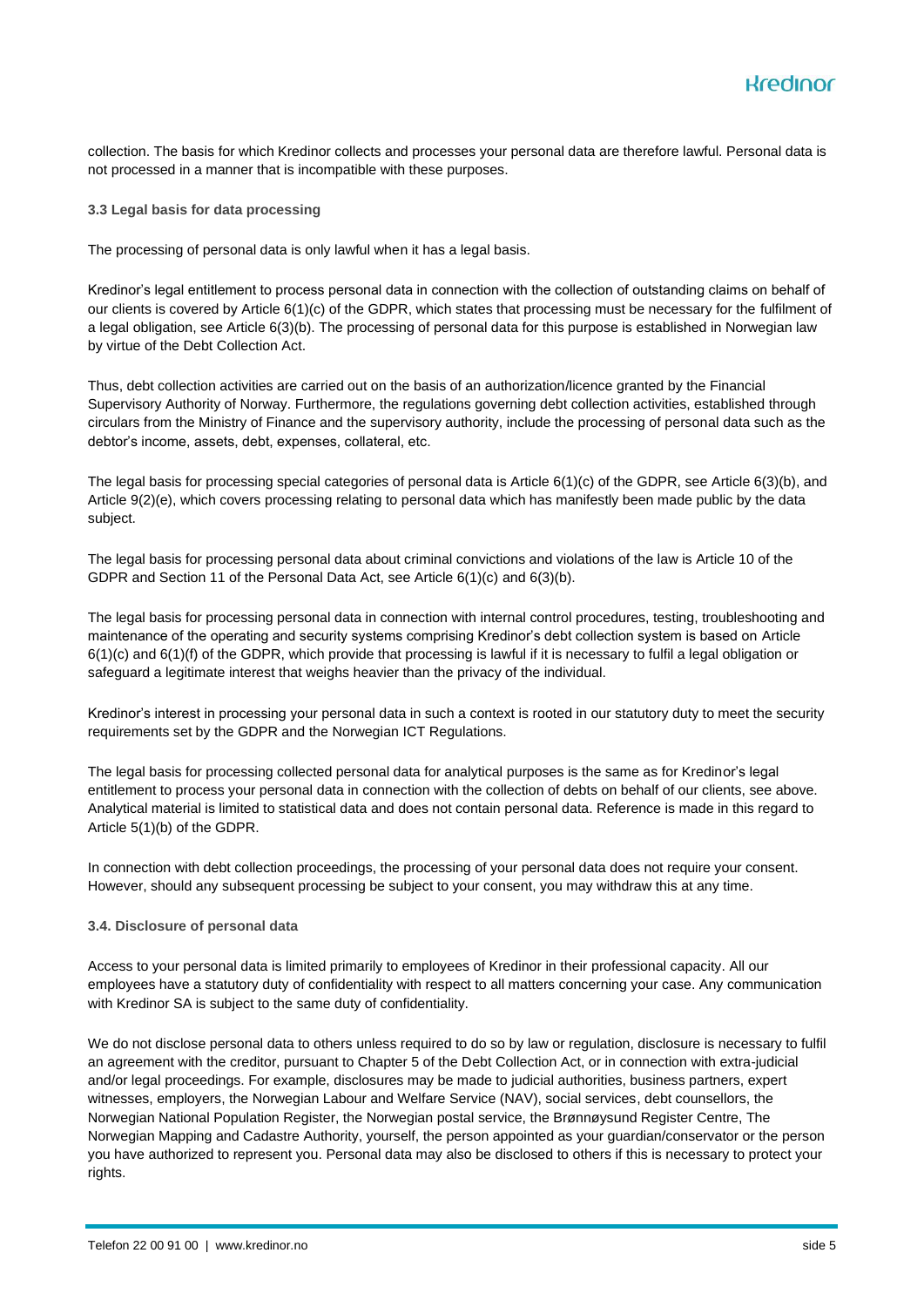collection. The basis for which Kredinor collects and processes your personal data are therefore lawful. Personal data is not processed in a manner that is incompatible with these purposes.

**3.3 Legal basis for data processing** 

The processing of personal data is only lawful when it has a legal basis.

Kredinor's legal entitlement to process personal data in connection with the collection of outstanding claims on behalf of our clients is covered by Article 6(1)(c) of the GDPR, which states that processing must be necessary for the fulfilment of a legal obligation, see Article 6(3)(b). The processing of personal data for this purpose is established in Norwegian law by virtue of the Debt Collection Act.

Thus, debt collection activities are carried out on the basis of an authorization/licence granted by the Financial Supervisory Authority of Norway. Furthermore, the regulations governing debt collection activities, established through circulars from the Ministry of Finance and the supervisory authority, include the processing of personal data such as the debtor's income, assets, debt, expenses, collateral, etc.

The legal basis for processing special categories of personal data is Article 6(1)(c) of the GDPR, see Article 6(3)(b), and Article 9(2)(e), which covers processing relating to personal data which has manifestly been made public by the data subject.

The legal basis for processing personal data about criminal convictions and violations of the law is Article 10 of the GDPR and Section 11 of the Personal Data Act, see Article 6(1)(c) and 6(3)(b).

The legal basis for processing personal data in connection with internal control procedures, testing, troubleshooting and maintenance of the operating and security systems comprising Kredinor's debt collection system is based on Article 6(1)(c) and 6(1)(f) of the GDPR, which provide that processing is lawful if it is necessary to fulfil a legal obligation or safeguard a legitimate interest that weighs heavier than the privacy of the individual.

Kredinor's interest in processing your personal data in such a context is rooted in our statutory duty to meet the security requirements set by the GDPR and the Norwegian ICT Regulations.

The legal basis for processing collected personal data for analytical purposes is the same as for Kredinor's legal entitlement to process your personal data in connection with the collection of debts on behalf of our clients, see above. Analytical material is limited to statistical data and does not contain personal data. Reference is made in this regard to Article 5(1)(b) of the GDPR.

In connection with debt collection proceedings, the processing of your personal data does not require your consent. However, should any subsequent processing be subject to your consent, you may withdraw this at any time.

#### **3.4. Disclosure of personal data**

Access to your personal data is limited primarily to employees of Kredinor in their professional capacity. All our employees have a statutory duty of confidentiality with respect to all matters concerning your case. Any communication with Kredinor SA is subject to the same duty of confidentiality.

We do not disclose personal data to others unless required to do so by law or regulation, disclosure is necessary to fulfil an agreement with the creditor, pursuant to Chapter 5 of the Debt Collection Act, or in connection with extra-judicial and/or legal proceedings. For example, disclosures may be made to judicial authorities, business partners, expert witnesses, employers, the Norwegian Labour and Welfare Service (NAV), social services, debt counsellors, the Norwegian National Population Register, the Norwegian postal service, the Brønnøysund Register Centre, The Norwegian Mapping and Cadastre Authority, yourself, the person appointed as your guardian/conservator or the person you have authorized to represent you. Personal data may also be disclosed to others if this is necessary to protect your rights.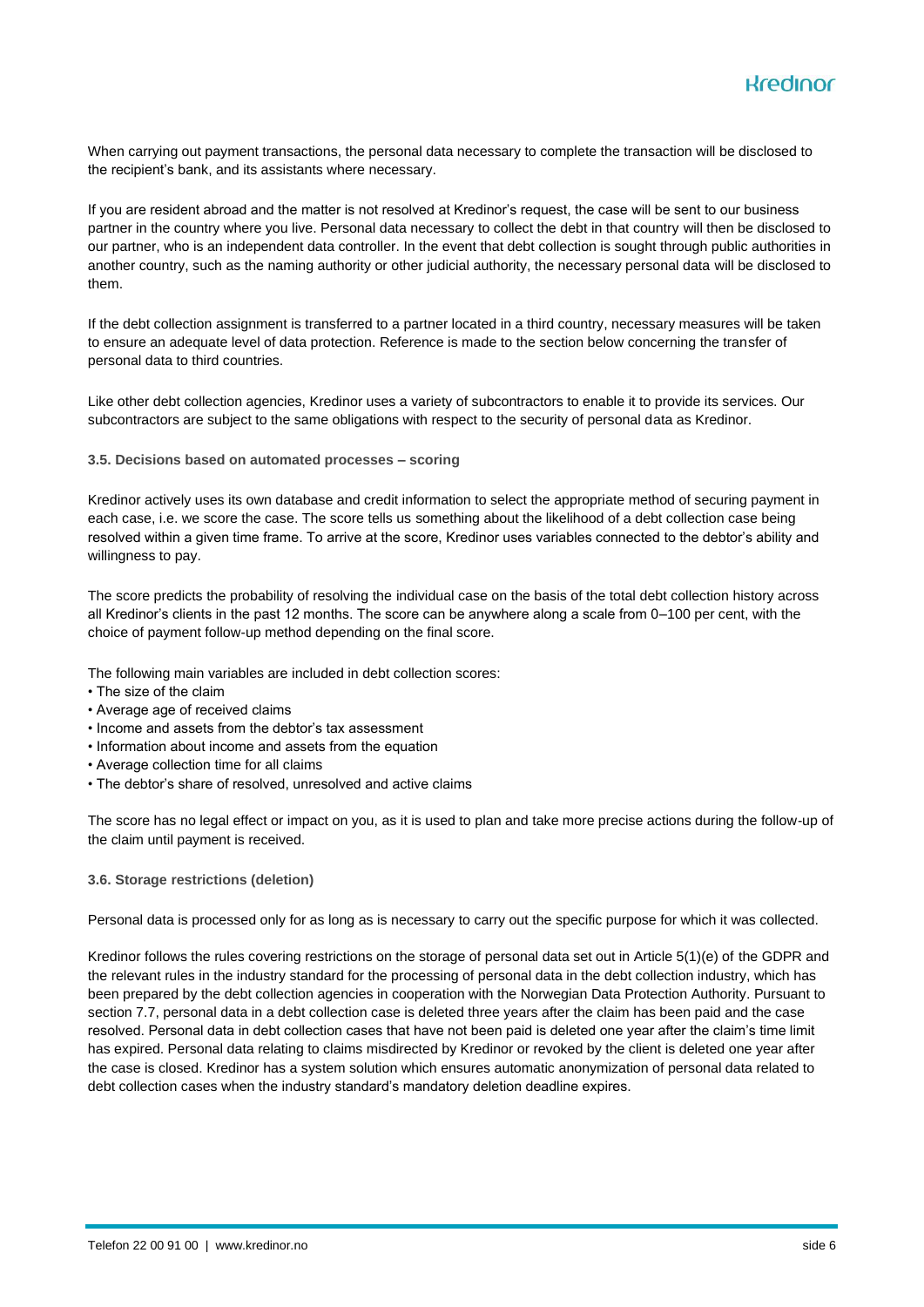When carrying out payment transactions, the personal data necessary to complete the transaction will be disclosed to the recipient's bank, and its assistants where necessary.

If you are resident abroad and the matter is not resolved at Kredinor's request, the case will be sent to our business partner in the country where you live. Personal data necessary to collect the debt in that country will then be disclosed to our partner, who is an independent data controller. In the event that debt collection is sought through public authorities in another country, such as the naming authority or other judicial authority, the necessary personal data will be disclosed to them.

If the debt collection assignment is transferred to a partner located in a third country, necessary measures will be taken to ensure an adequate level of data protection. Reference is made to the section below concerning the transfer of personal data to third countries.

Like other debt collection agencies, Kredinor uses a variety of subcontractors to enable it to provide its services. Our subcontractors are subject to the same obligations with respect to the security of personal data as Kredinor.

#### **3.5. Decisions based on automated processes – scoring**

Kredinor actively uses its own database and credit information to select the appropriate method of securing payment in each case, i.e. we score the case. The score tells us something about the likelihood of a debt collection case being resolved within a given time frame. To arrive at the score, Kredinor uses variables connected to the debtor's ability and willingness to pay.

The score predicts the probability of resolving the individual case on the basis of the total debt collection history across all Kredinor's clients in the past 12 months. The score can be anywhere along a scale from 0–100 per cent, with the choice of payment follow-up method depending on the final score.

The following main variables are included in debt collection scores:

- The size of the claim
- Average age of received claims
- Income and assets from the debtor's tax assessment
- Information about income and assets from the equation
- Average collection time for all claims
- The debtor's share of resolved, unresolved and active claims

The score has no legal effect or impact on you, as it is used to plan and take more precise actions during the follow-up of the claim until payment is received.

#### **3.6. Storage restrictions (deletion)**

Personal data is processed only for as long as is necessary to carry out the specific purpose for which it was collected.

Kredinor follows the rules covering restrictions on the storage of personal data set out in Article 5(1)(e) of the GDPR and the relevant rules in the industry standard for the processing of personal data in the debt collection industry, which has been prepared by the debt collection agencies in cooperation with the Norwegian Data Protection Authority. Pursuant to section 7.7, personal data in a debt collection case is deleted three years after the claim has been paid and the case resolved. Personal data in debt collection cases that have not been paid is deleted one year after the claim's time limit has expired. Personal data relating to claims misdirected by Kredinor or revoked by the client is deleted one year after the case is closed. Kredinor has a system solution which ensures automatic anonymization of personal data related to debt collection cases when the industry standard's mandatory deletion deadline expires.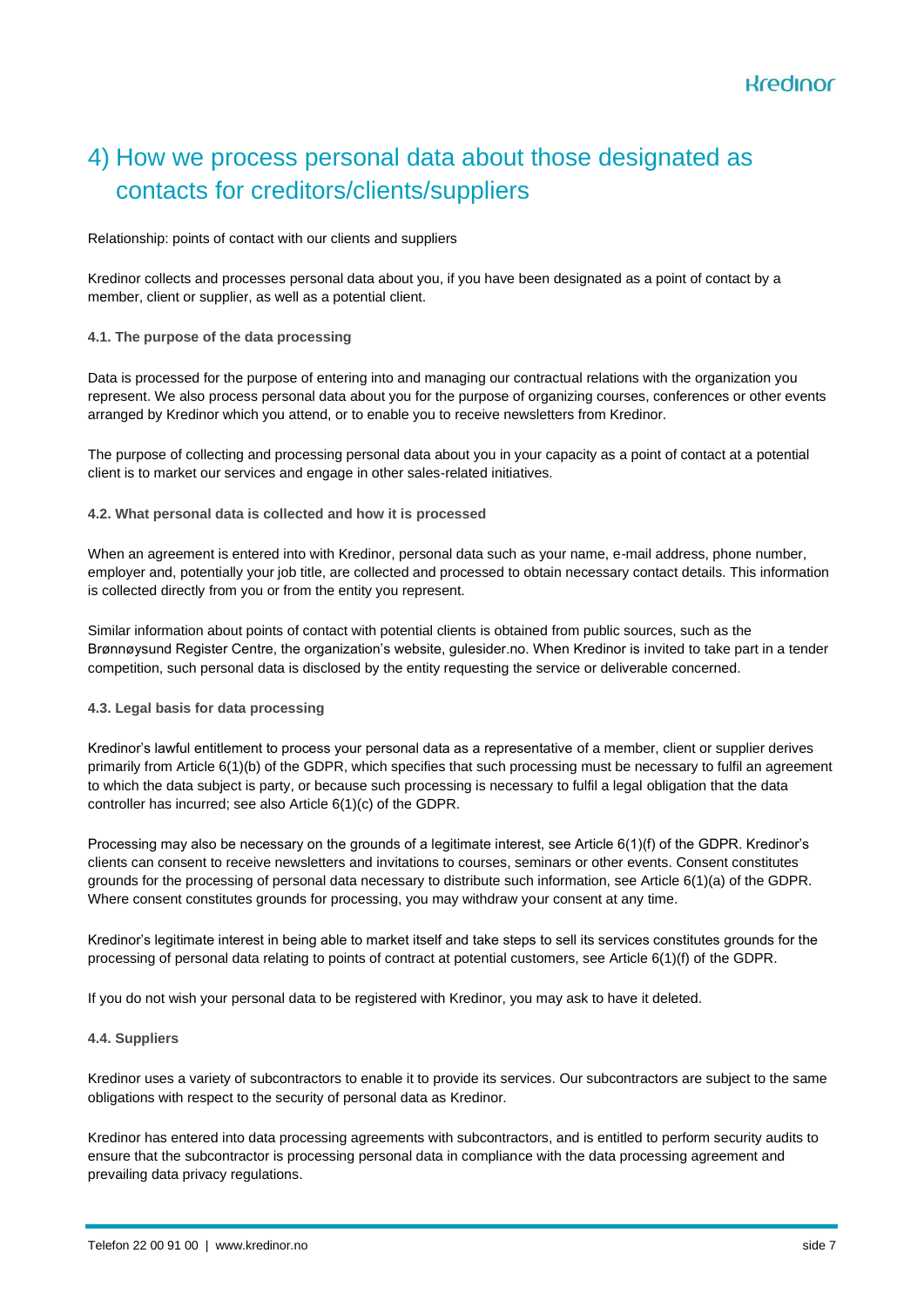## 4) How we process personal data about those designated as contacts for creditors/clients/suppliers

#### Relationship: points of contact with our clients and suppliers

Kredinor collects and processes personal data about you, if you have been designated as a point of contact by a member, client or supplier, as well as a potential client.

#### **4.1. The purpose of the data processing**

Data is processed for the purpose of entering into and managing our contractual relations with the organization you represent. We also process personal data about you for the purpose of organizing courses, conferences or other events arranged by Kredinor which you attend, or to enable you to receive newsletters from Kredinor.

The purpose of collecting and processing personal data about you in your capacity as a point of contact at a potential client is to market our services and engage in other sales-related initiatives.

#### **4.2. What personal data is collected and how it is processed**

When an agreement is entered into with Kredinor, personal data such as your name, e-mail address, phone number, employer and, potentially your job title, are collected and processed to obtain necessary contact details. This information is collected directly from you or from the entity you represent.

Similar information about points of contact with potential clients is obtained from public sources, such as the Brønnøysund Register Centre, the organization's website, gulesider.no. When Kredinor is invited to take part in a tender competition, such personal data is disclosed by the entity requesting the service or deliverable concerned.

#### **4.3. Legal basis for data processing**

Kredinor's lawful entitlement to process your personal data as a representative of a member, client or supplier derives primarily from Article 6(1)(b) of the GDPR, which specifies that such processing must be necessary to fulfil an agreement to which the data subject is party, or because such processing is necessary to fulfil a legal obligation that the data controller has incurred; see also Article 6(1)(c) of the GDPR.

Processing may also be necessary on the grounds of a legitimate interest, see Article 6(1)(f) of the GDPR. Kredinor's clients can consent to receive newsletters and invitations to courses, seminars or other events. Consent constitutes grounds for the processing of personal data necessary to distribute such information, see Article 6(1)(a) of the GDPR. Where consent constitutes grounds for processing, you may withdraw your consent at any time.

Kredinor's legitimate interest in being able to market itself and take steps to sell its services constitutes grounds for the processing of personal data relating to points of contract at potential customers, see Article 6(1)(f) of the GDPR.

If you do not wish your personal data to be registered with Kredinor, you may ask to have it deleted.

#### **4.4. Suppliers**

Kredinor uses a variety of subcontractors to enable it to provide its services. Our subcontractors are subject to the same obligations with respect to the security of personal data as Kredinor.

Kredinor has entered into data processing agreements with subcontractors, and is entitled to perform security audits to ensure that the subcontractor is processing personal data in compliance with the data processing agreement and prevailing data privacy regulations.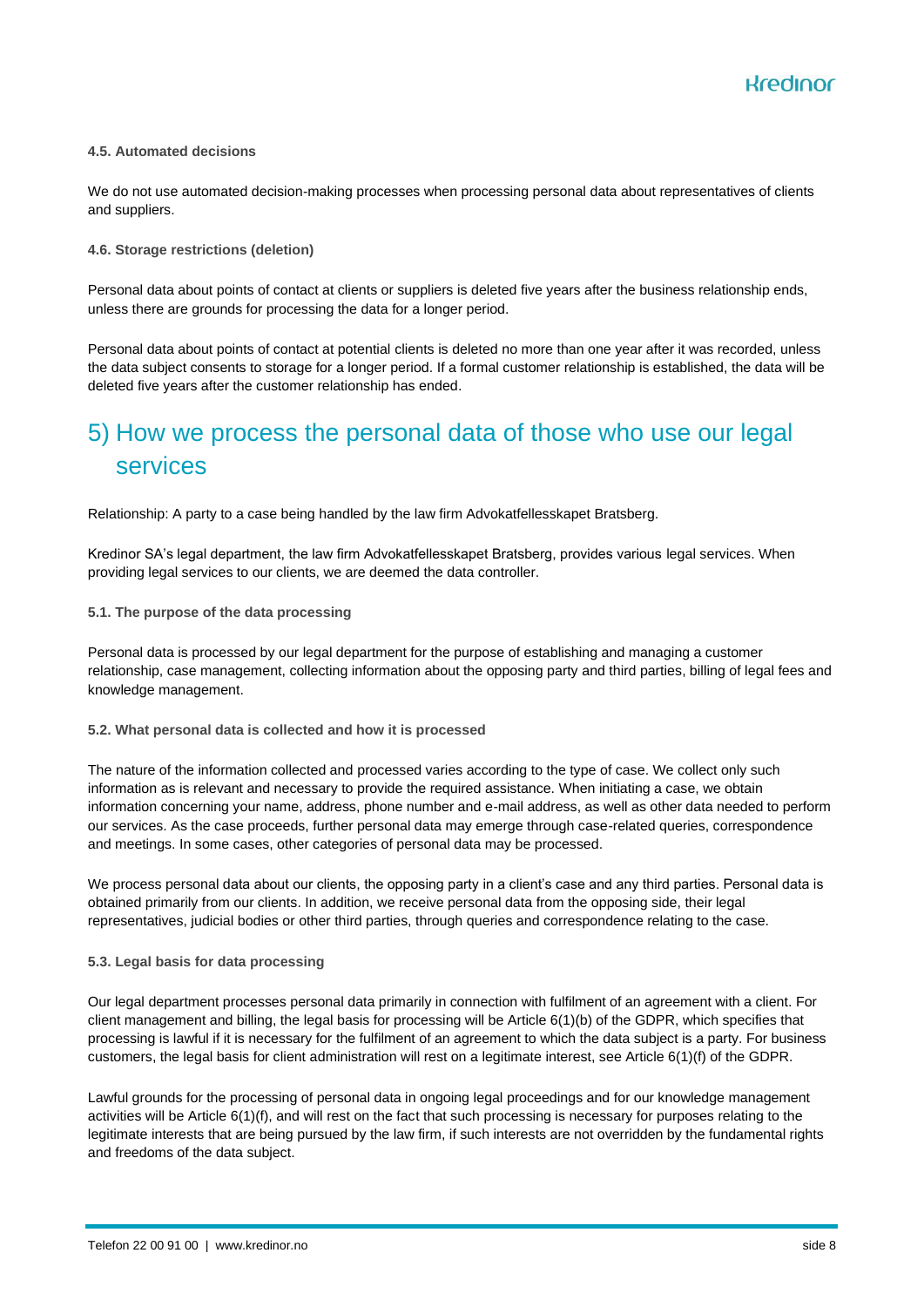Kredinor

#### **4.5. Automated decisions**

We do not use automated decision-making processes when processing personal data about representatives of clients and suppliers.

#### **4.6. Storage restrictions (deletion)**

Personal data about points of contact at clients or suppliers is deleted five years after the business relationship ends, unless there are grounds for processing the data for a longer period.

Personal data about points of contact at potential clients is deleted no more than one year after it was recorded, unless the data subject consents to storage for a longer period. If a formal customer relationship is established, the data will be deleted five years after the customer relationship has ended.

### 5) How we process the personal data of those who use our legal services

Relationship: A party to a case being handled by the law firm Advokatfellesskapet Bratsberg.

Kredinor SA's legal department, the law firm Advokatfellesskapet Bratsberg, provides various legal services. When providing legal services to our clients, we are deemed the data controller.

#### **5.1. The purpose of the data processing**

Personal data is processed by our legal department for the purpose of establishing and managing a customer relationship, case management, collecting information about the opposing party and third parties, billing of legal fees and knowledge management.

#### **5.2. What personal data is collected and how it is processed**

The nature of the information collected and processed varies according to the type of case. We collect only such information as is relevant and necessary to provide the required assistance. When initiating a case, we obtain information concerning your name, address, phone number and e-mail address, as well as other data needed to perform our services. As the case proceeds, further personal data may emerge through case-related queries, correspondence and meetings. In some cases, other categories of personal data may be processed.

We process personal data about our clients, the opposing party in a client's case and any third parties. Personal data is obtained primarily from our clients. In addition, we receive personal data from the opposing side, their legal representatives, judicial bodies or other third parties, through queries and correspondence relating to the case.

#### **5.3. Legal basis for data processing**

Our legal department processes personal data primarily in connection with fulfilment of an agreement with a client. For client management and billing, the legal basis for processing will be Article 6(1)(b) of the GDPR, which specifies that processing is lawful if it is necessary for the fulfilment of an agreement to which the data subject is a party. For business customers, the legal basis for client administration will rest on a legitimate interest, see Article 6(1)(f) of the GDPR.

Lawful grounds for the processing of personal data in ongoing legal proceedings and for our knowledge management activities will be Article 6(1)(f), and will rest on the fact that such processing is necessary for purposes relating to the legitimate interests that are being pursued by the law firm, if such interests are not overridden by the fundamental rights and freedoms of the data subject.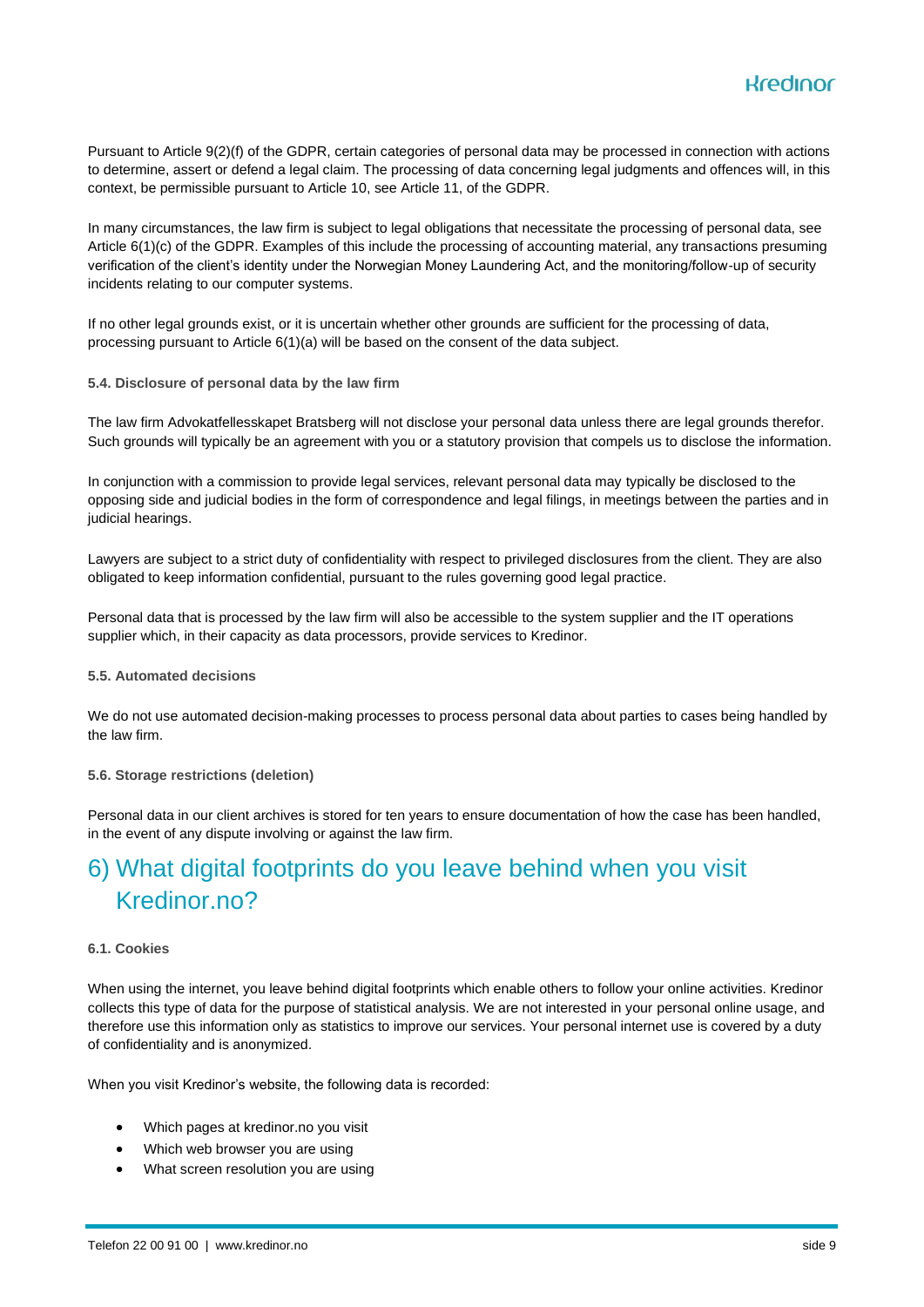Pursuant to Article 9(2)(f) of the GDPR, certain categories of personal data may be processed in connection with actions to determine, assert or defend a legal claim. The processing of data concerning legal judgments and offences will, in this context, be permissible pursuant to Article 10, see Article 11, of the GDPR.

In many circumstances, the law firm is subject to legal obligations that necessitate the processing of personal data, see Article 6(1)(c) of the GDPR. Examples of this include the processing of accounting material, any transactions presuming verification of the client's identity under the Norwegian Money Laundering Act, and the monitoring/follow-up of security incidents relating to our computer systems.

If no other legal grounds exist, or it is uncertain whether other grounds are sufficient for the processing of data, processing pursuant to Article 6(1)(a) will be based on the consent of the data subject.

**5.4. Disclosure of personal data by the law firm**

The law firm Advokatfellesskapet Bratsberg will not disclose your personal data unless there are legal grounds therefor. Such grounds will typically be an agreement with you or a statutory provision that compels us to disclose the information.

In conjunction with a commission to provide legal services, relevant personal data may typically be disclosed to the opposing side and judicial bodies in the form of correspondence and legal filings, in meetings between the parties and in judicial hearings.

Lawyers are subject to a strict duty of confidentiality with respect to privileged disclosures from the client. They are also obligated to keep information confidential, pursuant to the rules governing good legal practice.

Personal data that is processed by the law firm will also be accessible to the system supplier and the IT operations supplier which, in their capacity as data processors, provide services to Kredinor.

#### **5.5. Automated decisions**

We do not use automated decision-making processes to process personal data about parties to cases being handled by the law firm.

#### **5.6. Storage restrictions (deletion)**

Personal data in our client archives is stored for ten years to ensure documentation of how the case has been handled, in the event of any dispute involving or against the law firm.

## 6) What digital footprints do you leave behind when you visit Kredinor.no?

#### **6.1. Cookies**

When using the internet, you leave behind digital footprints which enable others to follow your online activities. Kredinor collects this type of data for the purpose of statistical analysis. We are not interested in your personal online usage, and therefore use this information only as statistics to improve our services. Your personal internet use is covered by a duty of confidentiality and is anonymized.

When you visit Kredinor's website, the following data is recorded:

- Which pages at kredinor.no you visit
- Which web browser you are using
- What screen resolution you are using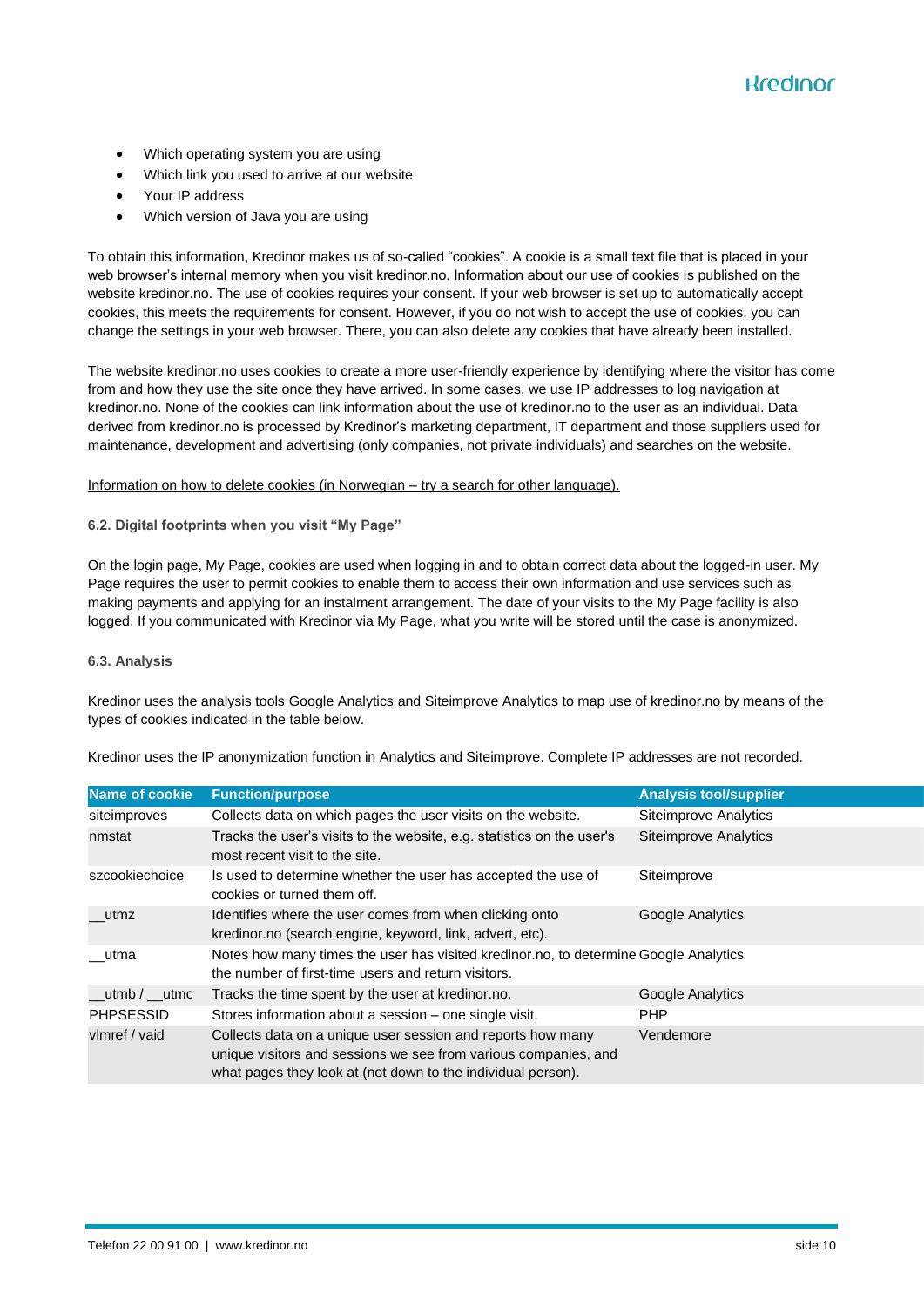- Which operating system you are using
- Which link you used to arrive at our website
- Your IP address
- Which version of Java you are using

To obtain this information, Kredinor makes us of so-called "cookies". A cookie is a small text file that is placed in your web browser's internal memory when you visit kredinor.no. Information about our use of cookies is published on the website kredinor.no. The use of cookies requires your consent. If your web browser is set up to automatically accept cookies, this meets the requirements for consent. However, if you do not wish to accept the use of cookies, you can change the settings in your web browser. There, you can also delete any cookies that have already been installed.

The website kredinor.no uses cookies to create a more user-friendly experience by identifying where the visitor has come from and how they use the site once they have arrived. In some cases, we use IP addresses to log navigation at kredinor.no. None of the cookies can link information about the use of kredinor.no to the user as an individual. Data derived from kredinor.no is processed by Kredinor's marketing department, IT department and those suppliers used for maintenance, development and advertising (only companies, not private individuals) and searches on the website.

#### [Information on how to delete cookies \(in Norwegian –](https://nettvett.no/slik-administrer-du-informasjonskapsler/) try a search for other language).

#### **6.2. Digital footprints when you visit "My Page"**

On the login page, My Page, cookies are used when logging in and to obtain correct data about the logged-in user. My Page requires the user to permit cookies to enable them to access their own information and use services such as making payments and applying for an instalment arrangement. The date of your visits to the My Page facility is also logged. If you communicated with Kredinor via My Page, what you write will be stored until the case is anonymized.

#### **6.3. Analysis**

Kredinor uses the analysis tools [Google Analytics](https://www.google.com/policies/technologies/types/) and [Siteimprove Analytics](https://siteimprove.com/) to map use of kredinor.no by means of the types of cookies indicated in the table below.

| Name of cookie   | <b>Function/purpose</b>                                                                                                                                                                        | <b>Analysis tool/supplier</b> |
|------------------|------------------------------------------------------------------------------------------------------------------------------------------------------------------------------------------------|-------------------------------|
| siteimproves     | Collects data on which pages the user visits on the website.                                                                                                                                   | Siteimprove Analytics         |
| nmstat           | Tracks the user's visits to the website, e.g. statistics on the user's<br>most recent visit to the site.                                                                                       | <b>Siteimprove Analytics</b>  |
| szcookiechoice   | Is used to determine whether the user has accepted the use of<br>cookies or turned them off.                                                                                                   | Siteimprove                   |
| utmz             | Identifies where the user comes from when clicking onto<br>kredinor.no (search engine, keyword, link, advert, etc).                                                                            | Google Analytics              |
| utma             | Notes how many times the user has visited kredinor.no, to determine Google Analytics<br>the number of first-time users and return visitors.                                                    |                               |
| utmb $/$ __utmc  | Tracks the time spent by the user at kredinor.no.                                                                                                                                              | Google Analytics              |
| <b>PHPSESSID</b> | Stores information about a session – one single visit.                                                                                                                                         | <b>PHP</b>                    |
| vlmref / vaid    | Collects data on a unique user session and reports how many<br>unique visitors and sessions we see from various companies, and<br>what pages they look at (not down to the individual person). | Vendemore                     |

Kredinor uses the IP anonymization function in Analytics and Siteimprove. Complete IP addresses are not recorded.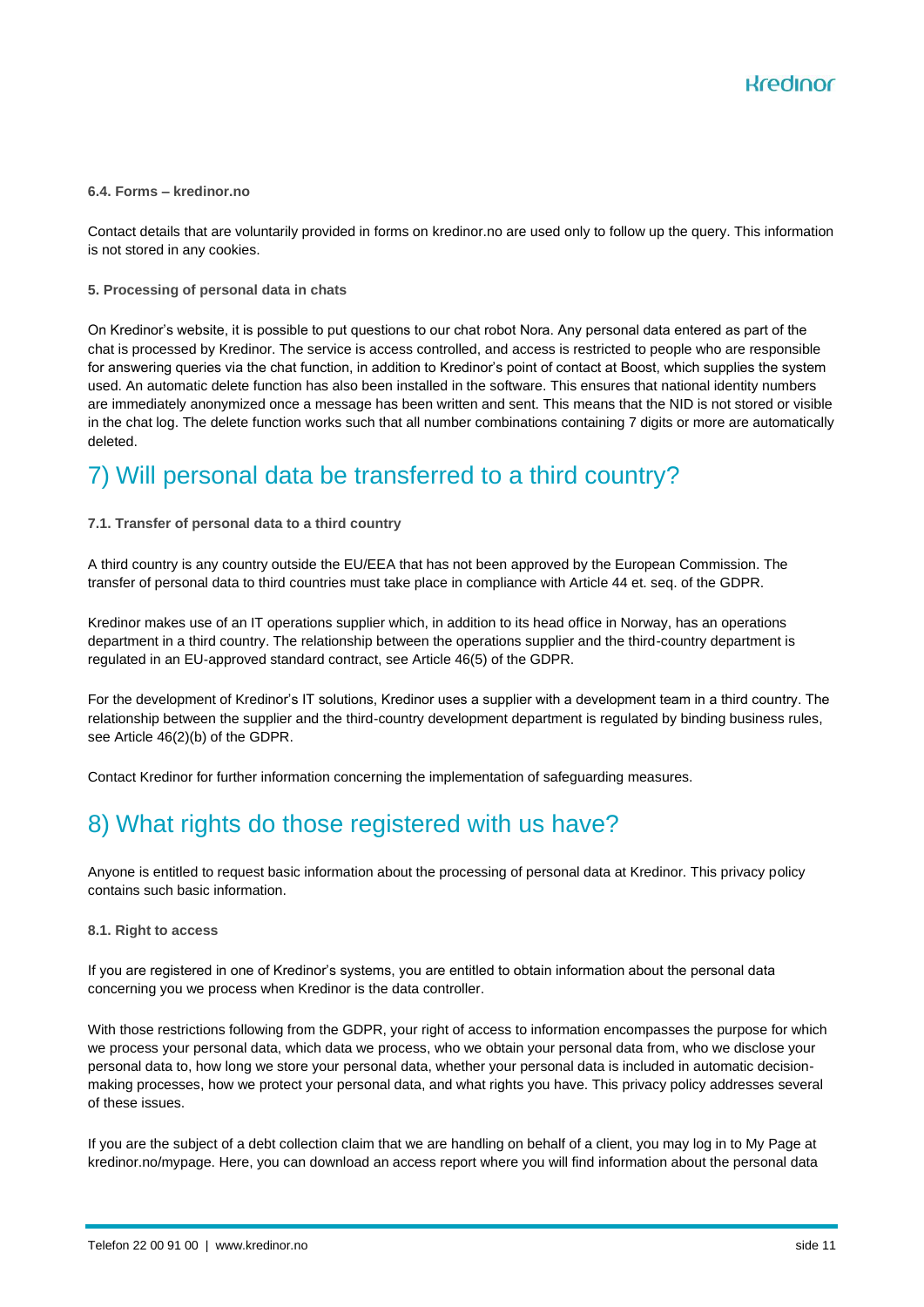#### **6.4. Forms – kredinor.no**

Contact details that are voluntarily provided in forms on kredinor.no are used only to follow up the query. This information is not stored in any cookies.

#### **5. Processing of personal data in chats**

On Kredinor's website, it is possible to put questions to our chat robot Nora. Any personal data entered as part of the chat is processed by Kredinor. The service is access controlled, and access is restricted to people who are responsible for answering queries via the chat function, in addition to Kredinor's point of contact at Boost, which supplies the system used. An automatic delete function has also been installed in the software. This ensures that national identity numbers are immediately anonymized once a message has been written and sent. This means that the NID is not stored or visible in the chat log. The delete function works such that all number combinations containing 7 digits or more are automatically deleted.

### 7) Will personal data be transferred to a third country?

#### **7.1. Transfer of personal data to a third country**

A third country is any country outside the EU/EEA that has not been approved by the European Commission. The transfer of personal data to third countries must take place in compliance with Article 44 et. seq. of the GDPR.

Kredinor makes use of an IT operations supplier which, in addition to its head office in Norway, has an operations department in a third country. The relationship between the operations supplier and the third-country department is regulated in an EU-approved standard contract, see Article 46(5) of the GDPR.

For the development of Kredinor's IT solutions, Kredinor uses a supplier with a development team in a third country. The relationship between the supplier and the third-country development department is regulated by binding business rules, see Article 46(2)(b) of the GDPR.

Contact Kredinor for further information concerning the implementation of safeguarding measures.

### 8) What rights do those registered with us have?

Anyone is entitled to request basic information about the processing of personal data at Kredinor. This privacy policy contains such basic information.

#### **8.1. Right to access**

If you are registered in one of Kredinor's systems, you are entitled to obtain information about the personal data concerning you we process when Kredinor is the data controller.

With those restrictions following from the GDPR, your right of access to information encompasses the purpose for which we process your personal data, which data we process, who we obtain your personal data from, who we disclose your personal data to, how long we store your personal data, whether your personal data is included in automatic decisionmaking processes, how we protect your personal data, and what rights you have. This privacy policy addresses several of these issues.

If you are the subject of a debt collection claim that we are handling on behalf of a client, you may log in to My Page at kredinor.no/mypage. Here, you can download an access report where you will find information about the personal data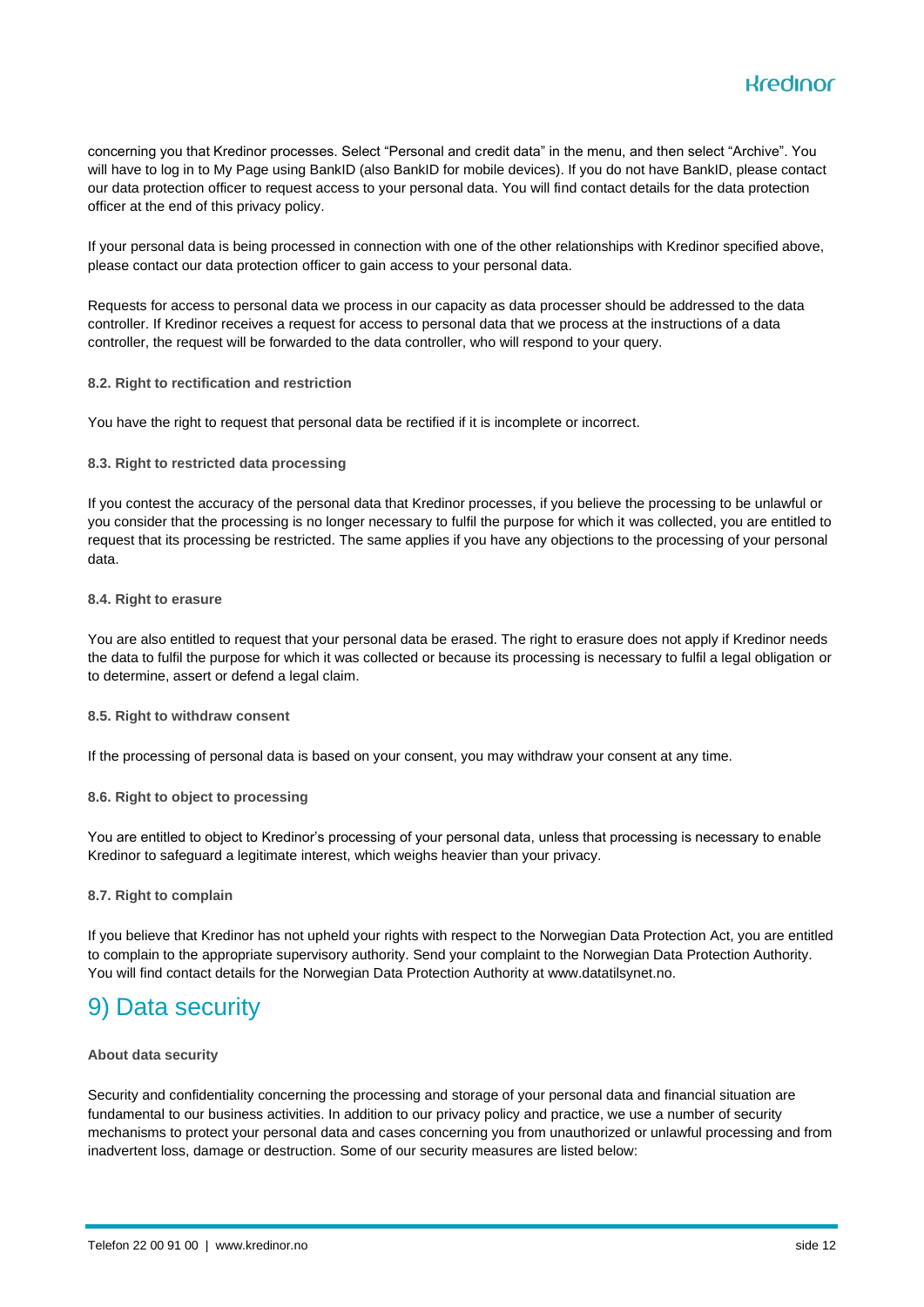

concerning you that Kredinor processes. Select "Personal and credit data" in the menu, and then select "Archive". You will have to log in to My Page using BankID (also BankID for mobile devices). If you do not have BankID, please contact our data protection officer to request access to your personal data. You will find contact details for the data protection officer at the end of this privacy policy.

If your personal data is being processed in connection with one of the other relationships with Kredinor specified above, please contact our data protection officer to gain access to your personal data.

Requests for access to personal data we process in our capacity as data processer should be addressed to the data controller. If Kredinor receives a request for access to personal data that we process at the instructions of a data controller, the request will be forwarded to the data controller, who will respond to your query.

**8.2. Right to rectification and restriction**

You have the right to request that personal data be rectified if it is incomplete or incorrect.

#### **8.3. Right to restricted data processing**

If you contest the accuracy of the personal data that Kredinor processes, if you believe the processing to be unlawful or you consider that the processing is no longer necessary to fulfil the purpose for which it was collected, you are entitled to request that its processing be restricted. The same applies if you have any objections to the processing of your personal data.

#### **8.4. Right to erasure**

You are also entitled to request that your personal data be erased. The right to erasure does not apply if Kredinor needs the data to fulfil the purpose for which it was collected or because its processing is necessary to fulfil a legal obligation or to determine, assert or defend a legal claim.

#### **8.5. Right to withdraw consent**

If the processing of personal data is based on your consent, you may withdraw your consent at any time.

#### **8.6. Right to object to processing**

You are entitled to object to Kredinor's processing of your personal data, unless that processing is necessary to enable Kredinor to safeguard a legitimate interest, which weighs heavier than your privacy.

#### **8.7. Right to complain**

If you believe that Kredinor has not upheld your rights with respect to the Norwegian Data Protection Act, you are entitled to complain to the appropriate supervisory authority. Send your complaint to the Norwegian Data Protection Authority. You will find contact details for the Norwegian Data Protection Authority at www.datatilsynet.no.

### 9) Data security

#### **About data security**

Security and confidentiality concerning the processing and storage of your personal data and financial situation are fundamental to our business activities. In addition to our privacy policy and practice, we use a number of security mechanisms to protect your personal data and cases concerning you from unauthorized or unlawful processing and from inadvertent loss, damage or destruction. Some of our security measures are listed below: